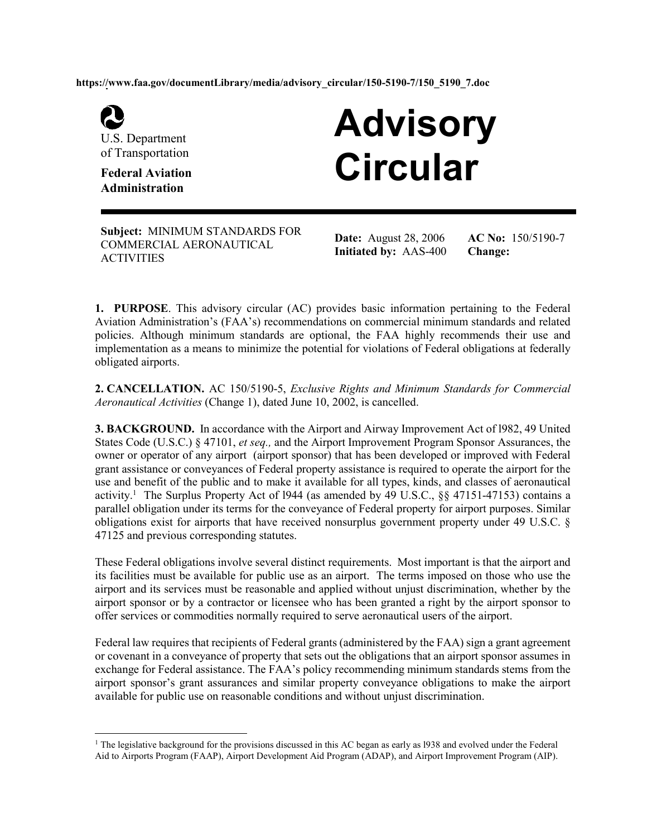**https://www.faa.gov/documentLibrary/media/advisory\_circular/150-5190-7/150\_5190\_7.doc** 



-

U.S. Department of Transportation

**Administration**

# **Advisory Circular Federal Aviation**

**Subject:** MINIMUM STANDARDS FOR COMMERCIAL AERONAUTICAL **ACTIVITIES** 

**Date:** August 28, 2006 **Initiated by:** AAS-400 **AC No:** 150/5190-7 **Change:** 

**1. PURPOSE**. This advisory circular (AC) provides basic information pertaining to the Federal Aviation Administration's (FAA's) recommendations on commercial minimum standards and related policies. Although minimum standards are optional, the FAA highly recommends their use and implementation as a means to minimize the potential for violations of Federal obligations at federally obligated airports.

**2. CANCELLATION.** AC 150/5190-5, *Exclusive Rights and Minimum Standards for Commercial Aeronautical Activities* (Change 1), dated June 10, 2002, is cancelled.

**3. BACKGROUND.** In accordance with the Airport and Airway Improvement Act of 1982, 49 United States Code (U.S.C.) § 47101, *et seq.,* and the Airport Improvement Program Sponsor Assurances, the owner or operator of any airport (airport sponsor) that has been developed or improved with Federal grant assistance or conveyances of Federal property assistance is required to operate the airport for the use and benefit of the public and to make it available for all types, kinds, and classes of aeronautical activity.<sup>1</sup> The Surplus Property Act of 1944 (as amended by 49 U.S.C., §§ 47151-47153) contains a parallel obligation under its terms for the conveyance of Federal property for airport purposes. Similar obligations exist for airports that have received nonsurplus government property under 49 U.S.C. § 47125 and previous corresponding statutes.

These Federal obligations involve several distinct requirements. Most important is that the airport and its facilities must be available for public use as an airport. The terms imposed on those who use the airport and its services must be reasonable and applied without unjust discrimination, whether by the airport sponsor or by a contractor or licensee who has been granted a right by the airport sponsor to offer services or commodities normally required to serve aeronautical users of the airport.

Federal law requires that recipients of Federal grants (administered by the FAA) sign a grant agreement or covenant in a conveyance of property that sets out the obligations that an airport sponsor assumes in exchange for Federal assistance. The FAA's policy recommending minimum standards stems from the airport sponsor's grant assurances and similar property conveyance obligations to make the airport available for public use on reasonable conditions and without unjust discrimination.

<sup>&</sup>lt;sup>1</sup> The legislative background for the provisions discussed in this AC began as early as 1938 and evolved under the Federal Aid to Airports Program (FAAP), Airport Development Aid Program (ADAP), and Airport Improvement Program (AIP).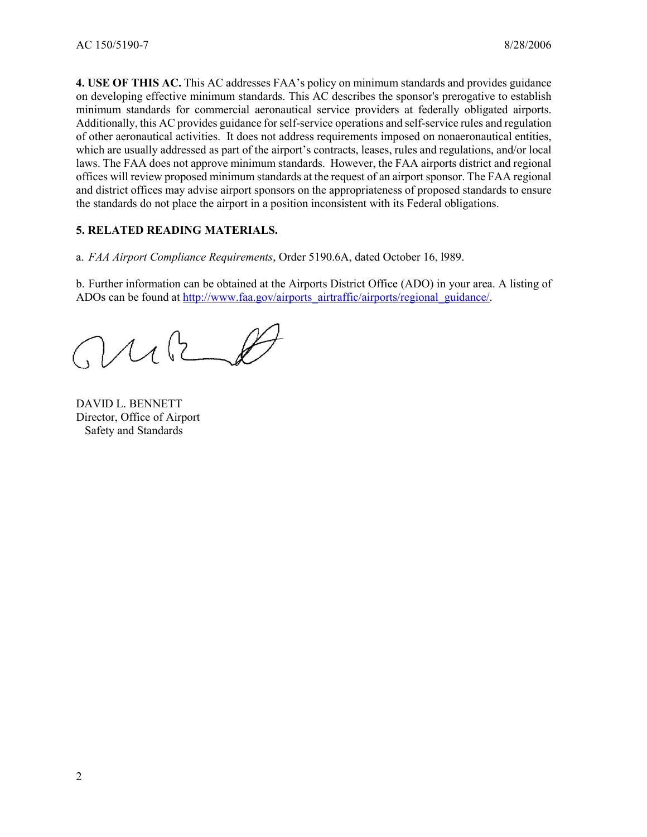**4. USE OF THIS AC.** This AC addresses FAA's policy on minimum standards and provides guidance on developing effective minimum standards. This AC describes the sponsor's prerogative to establish minimum standards for commercial aeronautical service providers at federally obligated airports. Additionally, this AC provides guidance for self-service operations and self-service rules and regulation of other aeronautical activities. It does not address requirements imposed on nonaeronautical entities, which are usually addressed as part of the airport's contracts, leases, rules and regulations, and/or local laws. The FAA does not approve minimum standards. However, the FAA airports district and regional offices will review proposed minimum standards at the request of an airport sponsor. The FAA regional and district offices may advise airport sponsors on the appropriateness of proposed standards to ensure the standards do not place the airport in a position inconsistent with its Federal obligations.

## **5. RELATED READING MATERIALS.**

a. *FAA Airport Compliance Requirements*, Order 5190.6A, dated October 16, l989.

b. Further information can be obtained at the Airports District Office (ADO) in your area. A listing of ADOs can be found at http://www.faa.gov/airports\_airtraffic/airports/regional\_guidance/.

MB

DAVID L. BENNETT Director, Office of Airport Safety and Standards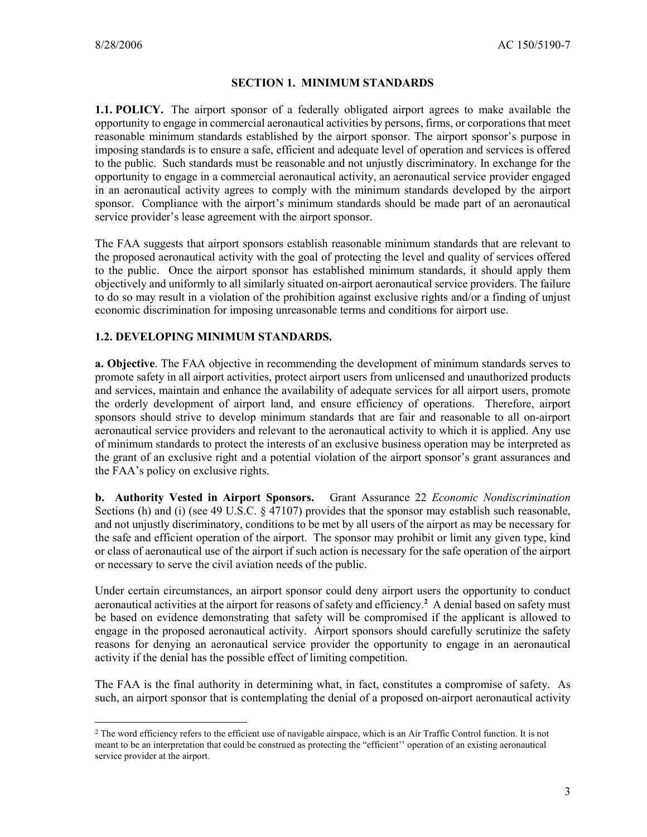<u>.</u>

#### **SECTION 1. MINIMUM STANDARDS**

**1.1. POLICY.** The airport sponsor of a federally obligated airport agrees to make available the opportunity to engage in commercial aeronautical activities by persons, firms, or corporations that meet reasonable minimum standards established by the airport sponsor. The airport sponsor's purpose in imposing standards is to ensure a safe, efficient and adequate level of operation and services is offered to the public. Such standards must be reasonable and not unjustly discriminatory. In exchange for the opportunity to engage in a commercial aeronautical activity, an aeronautical service provider engaged in an aeronautical activity agrees to comply with the minimum standards developed by the airport sponsor. Compliance with the airport's minimum standards should be made part of an aeronautical service provider's lease agreement with the airport sponsor.

The FAA suggests that airport sponsors establish reasonable minimum standards that are relevant to the proposed aeronautical activity with the goal of protecting the level and quality of services offered to the public. Once the airport sponsor has established minimum standards, it should apply them objectively and uniformly to all similarly situated on-airport aeronautical service providers. The failure to do so may result in a violation of the prohibition against exclusive rights and/or a finding of unjust economic discrimination for imposing unreasonable terms and conditions for airport use.

## **1.2. DEVELOPING MINIMUM STANDARDS.**

**a. Objective**. The FAA objective in recommending the development of minimum standards serves to promote safety in all airport activities, protect airport users from unlicensed and unauthorized products and services, maintain and enhance the availability of adequate services for all airport users, promote the orderly development of airport land, and ensure efficiency of operations. Therefore, airport sponsors should strive to develop minimum standards that are fair and reasonable to all on-airport aeronautical service providers and relevant to the aeronautical activity to which it is applied. Any use of minimum standards to protect the interests of an exclusive business operation may be interpreted as the grant of an exclusive right and a potential violation of the airport sponsor's grant assurances and the FAA's policy on exclusive rights.

**b. Authority Vested in Airport Sponsors.** Grant Assurance 22 *Economic Nondiscrimination* Sections (h) and (i) (see 49 U.S.C. § 47107) provides that the sponsor may establish such reasonable, and not unjustly discriminatory, conditions to be met by all users of the airport as may be necessary for the safe and efficient operation of the airport. The sponsor may prohibit or limit any given type, kind or class of aeronautical use of the airport if such action is necessary for the safe operation of the airport or necessary to serve the civil aviation needs of the public.

Under certain circumstances, an airport sponsor could deny airport users the opportunity to conduct aeronautical activities at the airport for reasons of safety and efficiency.**<sup>2</sup>** A denial based on safety must be based on evidence demonstrating that safety will be compromised if the applicant is allowed to engage in the proposed aeronautical activity. Airport sponsors should carefully scrutinize the safety reasons for denying an aeronautical service provider the opportunity to engage in an aeronautical activity if the denial has the possible effect of limiting competition.

The FAA is the final authority in determining what, in fact, constitutes a compromise of safety. As such, an airport sponsor that is contemplating the denial of a proposed on-airport aeronautical activity

<sup>&</sup>lt;sup>2</sup> The word efficiency refers to the efficient use of navigable airspace, which is an Air Traffic Control function. It is not meant to be an interpretation that could be construed as protecting the "efficient'' operation of an existing aeronautical service provider at the airport.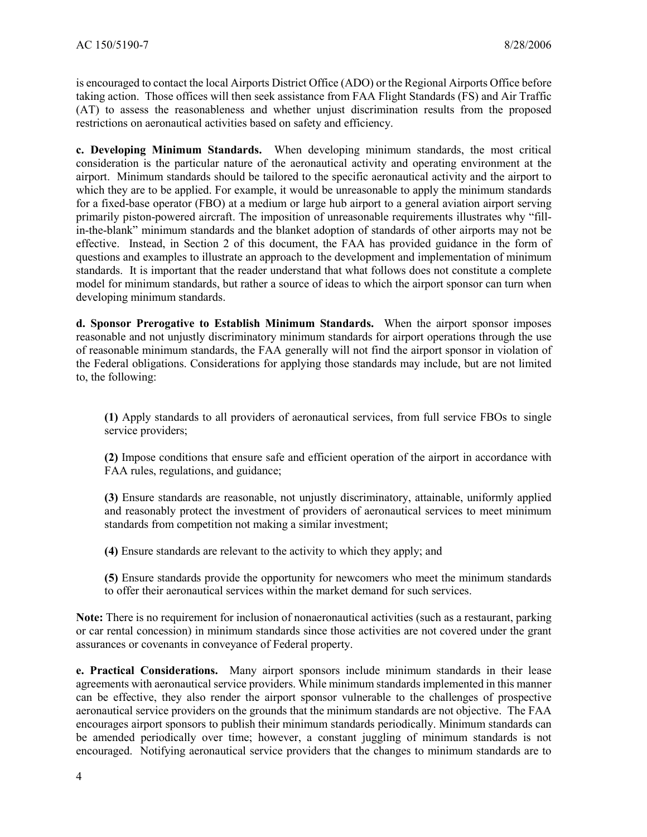is encouraged to contact the local Airports District Office (ADO) or the Regional Airports Office before taking action. Those offices will then seek assistance from FAA Flight Standards (FS) and Air Traffic (AT) to assess the reasonableness and whether unjust discrimination results from the proposed restrictions on aeronautical activities based on safety and efficiency.

**c. Developing Minimum Standards.** When developing minimum standards, the most critical consideration is the particular nature of the aeronautical activity and operating environment at the airport. Minimum standards should be tailored to the specific aeronautical activity and the airport to which they are to be applied. For example, it would be unreasonable to apply the minimum standards for a fixed-base operator (FBO) at a medium or large hub airport to a general aviation airport serving primarily piston-powered aircraft. The imposition of unreasonable requirements illustrates why "fillin-the-blank" minimum standards and the blanket adoption of standards of other airports may not be effective. Instead, in Section 2 of this document, the FAA has provided guidance in the form of questions and examples to illustrate an approach to the development and implementation of minimum standards. It is important that the reader understand that what follows does not constitute a complete model for minimum standards, but rather a source of ideas to which the airport sponsor can turn when developing minimum standards.

**d. Sponsor Prerogative to Establish Minimum Standards.** When the airport sponsor imposes reasonable and not unjustly discriminatory minimum standards for airport operations through the use of reasonable minimum standards, the FAA generally will not find the airport sponsor in violation of the Federal obligations. Considerations for applying those standards may include, but are not limited to, the following:

**(1)** Apply standards to all providers of aeronautical services, from full service FBOs to single service providers;

**(2)** Impose conditions that ensure safe and efficient operation of the airport in accordance with FAA rules, regulations, and guidance;

**(3)** Ensure standards are reasonable, not unjustly discriminatory, attainable, uniformly applied and reasonably protect the investment of providers of aeronautical services to meet minimum standards from competition not making a similar investment;

**(4)** Ensure standards are relevant to the activity to which they apply; and

**(5)** Ensure standards provide the opportunity for newcomers who meet the minimum standards to offer their aeronautical services within the market demand for such services.

**Note:** There is no requirement for inclusion of nonaeronautical activities (such as a restaurant, parking or car rental concession) in minimum standards since those activities are not covered under the grant assurances or covenants in conveyance of Federal property.

**e. Practical Considerations.** Many airport sponsors include minimum standards in their lease agreements with aeronautical service providers. While minimum standards implemented in this manner can be effective, they also render the airport sponsor vulnerable to the challenges of prospective aeronautical service providers on the grounds that the minimum standards are not objective. The FAA encourages airport sponsors to publish their minimum standards periodically. Minimum standards can be amended periodically over time; however, a constant juggling of minimum standards is not encouraged. Notifying aeronautical service providers that the changes to minimum standards are to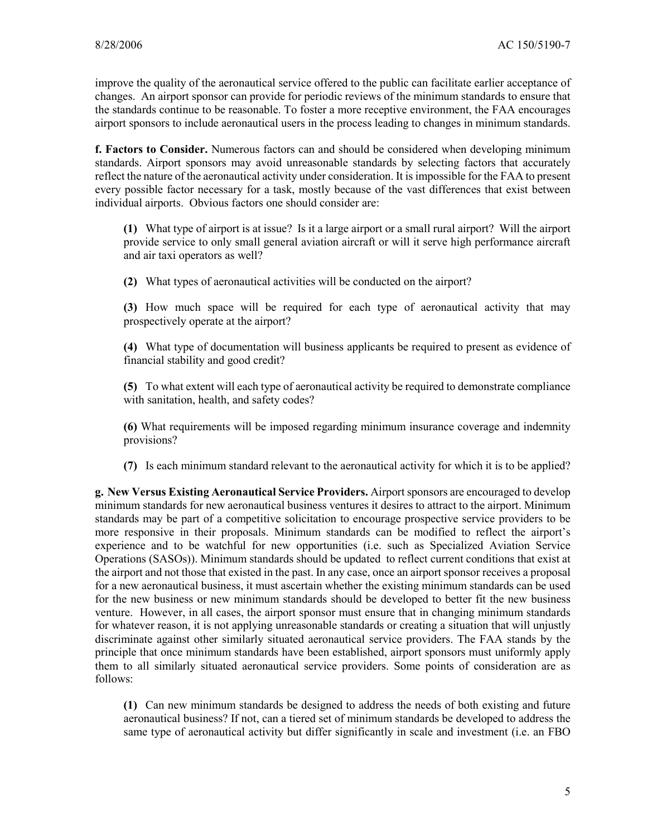improve the quality of the aeronautical service offered to the public can facilitate earlier acceptance of changes. An airport sponsor can provide for periodic reviews of the minimum standards to ensure that the standards continue to be reasonable. To foster a more receptive environment, the FAA encourages airport sponsors to include aeronautical users in the process leading to changes in minimum standards.

**f. Factors to Consider.** Numerous factors can and should be considered when developing minimum standards. Airport sponsors may avoid unreasonable standards by selecting factors that accurately reflect the nature of the aeronautical activity under consideration. It is impossible for the FAA to present every possible factor necessary for a task, mostly because of the vast differences that exist between individual airports. Obvious factors one should consider are:

 **(1)** What type of airport is at issue? Is it a large airport or a small rural airport? Will the airport provide service to only small general aviation aircraft or will it serve high performance aircraft and air taxi operators as well?

**(2)** What types of aeronautical activities will be conducted on the airport?

 **(3)** How much space will be required for each type of aeronautical activity that may prospectively operate at the airport?

 **(4)** What type of documentation will business applicants be required to present as evidence of financial stability and good credit?

 **(5)** To what extent will each type of aeronautical activity be required to demonstrate compliance with sanitation, health, and safety codes?

**(6)** What requirements will be imposed regarding minimum insurance coverage and indemnity provisions?

**(7)** Is each minimum standard relevant to the aeronautical activity for which it is to be applied?

**g. New Versus Existing Aeronautical Service Providers.** Airport sponsors are encouraged to develop minimum standards for new aeronautical business ventures it desires to attract to the airport. Minimum standards may be part of a competitive solicitation to encourage prospective service providers to be more responsive in their proposals. Minimum standards can be modified to reflect the airport's experience and to be watchful for new opportunities (i.e. such as Specialized Aviation Service Operations (SASOs)). Minimum standards should be updated to reflect current conditions that exist at the airport and not those that existed in the past. In any case, once an airport sponsor receives a proposal for a new aeronautical business, it must ascertain whether the existing minimum standards can be used for the new business or new minimum standards should be developed to better fit the new business venture. However, in all cases, the airport sponsor must ensure that in changing minimum standards for whatever reason, it is not applying unreasonable standards or creating a situation that will unjustly discriminate against other similarly situated aeronautical service providers. The FAA stands by the principle that once minimum standards have been established, airport sponsors must uniformly apply them to all similarly situated aeronautical service providers. Some points of consideration are as follows:

 **(1)** Can new minimum standards be designed to address the needs of both existing and future aeronautical business? If not, can a tiered set of minimum standards be developed to address the same type of aeronautical activity but differ significantly in scale and investment (i.e. an FBO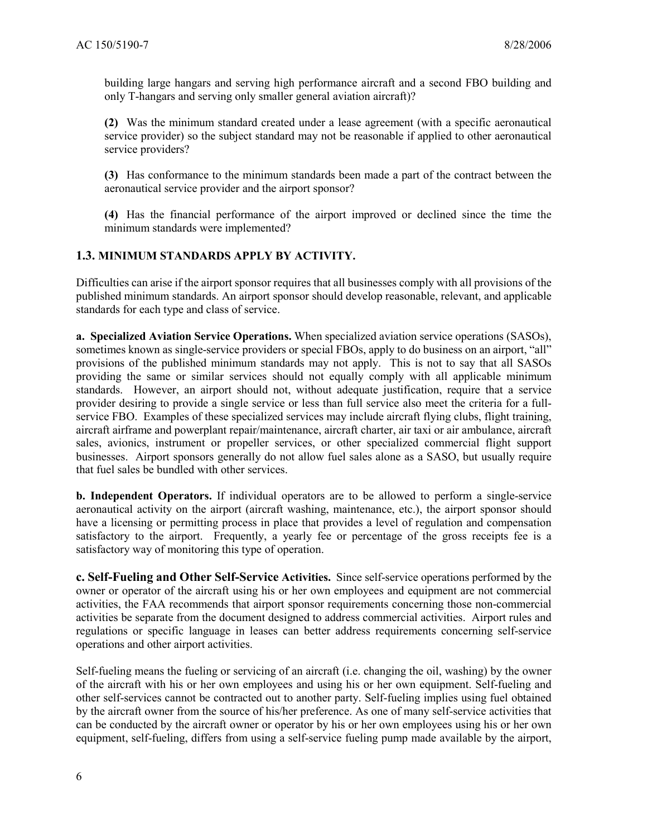building large hangars and serving high performance aircraft and a second FBO building and only T-hangars and serving only smaller general aviation aircraft)?

 **(2)** Was the minimum standard created under a lease agreement (with a specific aeronautical service provider) so the subject standard may not be reasonable if applied to other aeronautical service providers?

 **(3)** Has conformance to the minimum standards been made a part of the contract between the aeronautical service provider and the airport sponsor?

 **(4)** Has the financial performance of the airport improved or declined since the time the minimum standards were implemented?

## **1.3. MINIMUM STANDARDS APPLY BY ACTIVITY.**

Difficulties can arise if the airport sponsor requires that all businesses comply with all provisions of the published minimum standards. An airport sponsor should develop reasonable, relevant, and applicable standards for each type and class of service.

**a. Specialized Aviation Service Operations.** When specialized aviation service operations (SASOs), sometimes known as single-service providers or special FBOs, apply to do business on an airport, "all" provisions of the published minimum standards may not apply. This is not to say that all SASOs providing the same or similar services should not equally comply with all applicable minimum standards. However, an airport should not, without adequate justification, require that a service provider desiring to provide a single service or less than full service also meet the criteria for a fullservice FBO. Examples of these specialized services may include aircraft flying clubs, flight training, aircraft airframe and powerplant repair/maintenance, aircraft charter, air taxi or air ambulance, aircraft sales, avionics, instrument or propeller services, or other specialized commercial flight support businesses. Airport sponsors generally do not allow fuel sales alone as a SASO, but usually require that fuel sales be bundled with other services.

**b. Independent Operators.** If individual operators are to be allowed to perform a single-service aeronautical activity on the airport (aircraft washing, maintenance, etc.), the airport sponsor should have a licensing or permitting process in place that provides a level of regulation and compensation satisfactory to the airport. Frequently, a yearly fee or percentage of the gross receipts fee is a satisfactory way of monitoring this type of operation.

**c. Self-Fueling and Other Self-Service Activities.** Since self-service operations performed by the owner or operator of the aircraft using his or her own employees and equipment are not commercial activities, the FAA recommends that airport sponsor requirements concerning those non-commercial activities be separate from the document designed to address commercial activities. Airport rules and regulations or specific language in leases can better address requirements concerning self-service operations and other airport activities.

Self-fueling means the fueling or servicing of an aircraft (i.e. changing the oil, washing) by the owner of the aircraft with his or her own employees and using his or her own equipment. Self-fueling and other self-services cannot be contracted out to another party. Self-fueling implies using fuel obtained by the aircraft owner from the source of his/her preference. As one of many self-service activities that can be conducted by the aircraft owner or operator by his or her own employees using his or her own equipment, self-fueling, differs from using a self-service fueling pump made available by the airport,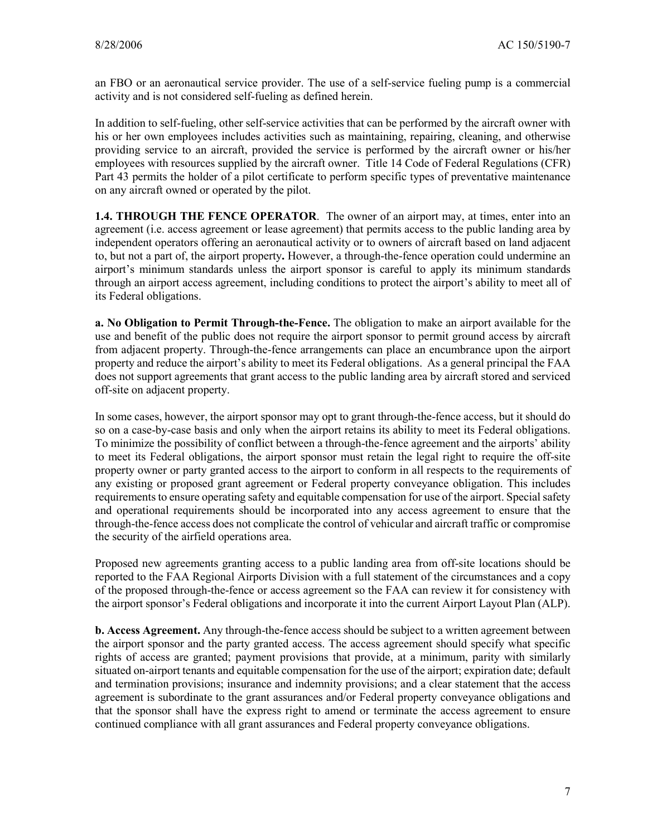an FBO or an aeronautical service provider. The use of a self-service fueling pump is a commercial activity and is not considered self-fueling as defined herein.

In addition to self-fueling, other self-service activities that can be performed by the aircraft owner with his or her own employees includes activities such as maintaining, repairing, cleaning, and otherwise providing service to an aircraft, provided the service is performed by the aircraft owner or his/her employees with resources supplied by the aircraft owner. Title 14 Code of Federal Regulations (CFR) Part 43 permits the holder of a pilot certificate to perform specific types of preventative maintenance on any aircraft owned or operated by the pilot.

**1.4. THROUGH THE FENCE OPERATOR**.The owner of an airport may, at times, enter into an agreement (i.e. access agreement or lease agreement) that permits access to the public landing area by independent operators offering an aeronautical activity or to owners of aircraft based on land adjacent to, but not a part of, the airport property**.** However, a through-the-fence operation could undermine an airport's minimum standards unless the airport sponsor is careful to apply its minimum standards through an airport access agreement, including conditions to protect the airport's ability to meet all of its Federal obligations.

**a. No Obligation to Permit Through-the-Fence.** The obligation to make an airport available for the use and benefit of the public does not require the airport sponsor to permit ground access by aircraft from adjacent property. Through-the-fence arrangements can place an encumbrance upon the airport property and reduce the airport's ability to meet its Federal obligations. As a general principal the FAA does not support agreements that grant access to the public landing area by aircraft stored and serviced off-site on adjacent property.

In some cases, however, the airport sponsor may opt to grant through-the-fence access, but it should do so on a case-by-case basis and only when the airport retains its ability to meet its Federal obligations. To minimize the possibility of conflict between a through-the-fence agreement and the airports' ability to meet its Federal obligations, the airport sponsor must retain the legal right to require the off-site property owner or party granted access to the airport to conform in all respects to the requirements of any existing or proposed grant agreement or Federal property conveyance obligation. This includes requirements to ensure operating safety and equitable compensation for use of the airport. Special safety and operational requirements should be incorporated into any access agreement to ensure that the through-the-fence access does not complicate the control of vehicular and aircraft traffic or compromise the security of the airfield operations area.

Proposed new agreements granting access to a public landing area from off-site locations should be reported to the FAA Regional Airports Division with a full statement of the circumstances and a copy of the proposed through-the-fence or access agreement so the FAA can review it for consistency with the airport sponsor's Federal obligations and incorporate it into the current Airport Layout Plan (ALP).

**b. Access Agreement.** Any through-the-fence access should be subject to a written agreement between the airport sponsor and the party granted access. The access agreement should specify what specific rights of access are granted; payment provisions that provide, at a minimum, parity with similarly situated on-airport tenants and equitable compensation for the use of the airport; expiration date; default and termination provisions; insurance and indemnity provisions; and a clear statement that the access agreement is subordinate to the grant assurances and/or Federal property conveyance obligations and that the sponsor shall have the express right to amend or terminate the access agreement to ensure continued compliance with all grant assurances and Federal property conveyance obligations.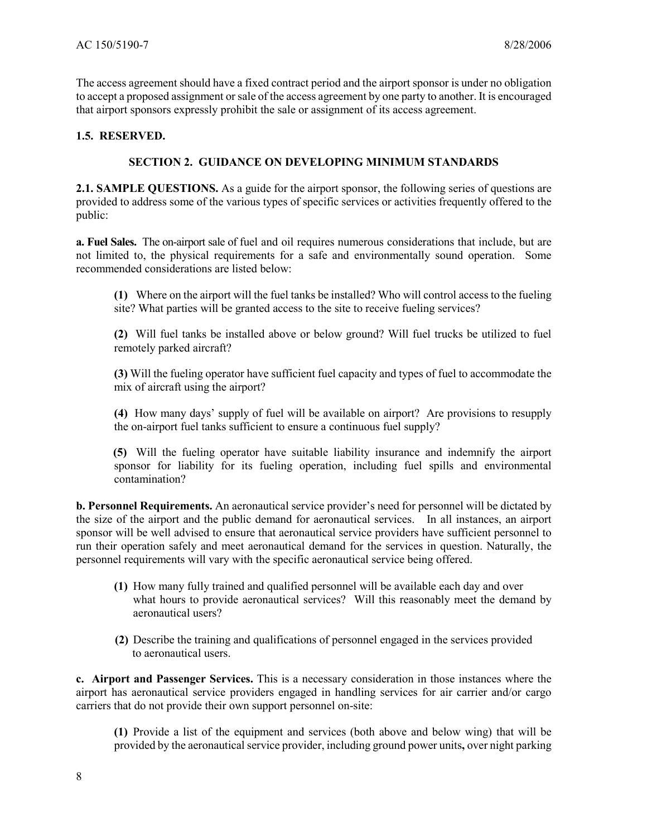The access agreement should have a fixed contract period and the airport sponsor is under no obligation to accept a proposed assignment or sale of the access agreement by one party to another. It is encouraged that airport sponsors expressly prohibit the sale or assignment of its access agreement.

#### **1.5. RESERVED.**

#### **SECTION 2. GUIDANCE ON DEVELOPING MINIMUM STANDARDS**

**2.1. SAMPLE QUESTIONS.** As a guide for the airport sponsor, the following series of questions are provided to address some of the various types of specific services or activities frequently offered to the public:

**a. Fuel Sales.** The on-airport sale of fuel and oil requires numerous considerations that include, but are not limited to, the physical requirements for a safe and environmentally sound operation. Some recommended considerations are listed below:

**(1)** Where on the airport will the fuel tanks be installed? Who will control access to the fueling site? What parties will be granted access to the site to receive fueling services?

**(2)** Will fuel tanks be installed above or below ground? Will fuel trucks be utilized to fuel remotely parked aircraft?

**(3)** Will the fueling operator have sufficient fuel capacity and types of fuel to accommodate the mix of aircraft using the airport?

**(4)** How many days' supply of fuel will be available on airport? Are provisions to resupply the on-airport fuel tanks sufficient to ensure a continuous fuel supply?

 **(5)** Will the fueling operator have suitable liability insurance and indemnify the airport sponsor for liability for its fueling operation, including fuel spills and environmental contamination?

**b. Personnel Requirements.** An aeronautical service provider's need for personnel will be dictated by the size of the airport and the public demand for aeronautical services. In all instances, an airport sponsor will be well advised to ensure that aeronautical service providers have sufficient personnel to run their operation safely and meet aeronautical demand for the services in question. Naturally, the personnel requirements will vary with the specific aeronautical service being offered.

- **(1)** How many fully trained and qualified personnel will be available each day and over what hours to provide aeronautical services? Will this reasonably meet the demand by aeronautical users?
- **(2)** Describe the training and qualifications of personnel engaged in the services provided to aeronautical users.

**c. Airport and Passenger Services.** This is a necessary consideration in those instances where the airport has aeronautical service providers engaged in handling services for air carrier and/or cargo carriers that do not provide their own support personnel on-site:

**(1)** Provide a list of the equipment and services (both above and below wing) that will be provided by the aeronautical service provider, including ground power units**,** over night parking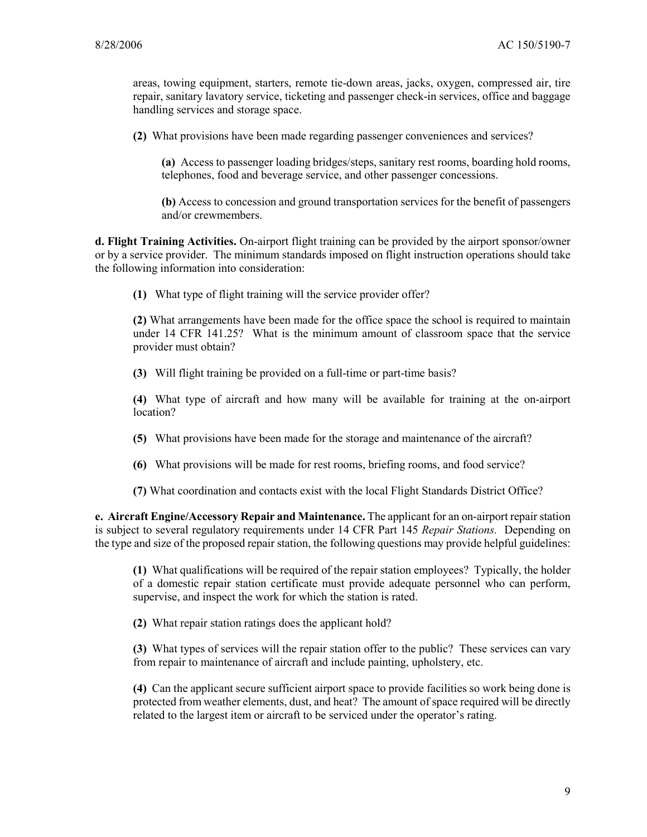areas, towing equipment, starters, remote tie-down areas, jacks, oxygen, compressed air, tire repair, sanitary lavatory service, ticketing and passenger check-in services, office and baggage handling services and storage space.

**(2)** What provisions have been made regarding passenger conveniences and services?

**(a)** Access to passenger loading bridges/steps, sanitary rest rooms, boarding hold rooms, telephones, food and beverage service, and other passenger concessions.

**(b)** Access to concession and ground transportation services for the benefit of passengers and/or crewmembers.

**d. Flight Training Activities.** On-airport flight training can be provided by the airport sponsor/owner or by a service provider. The minimum standards imposed on flight instruction operations should take the following information into consideration:

**(1)** What type of flight training will the service provider offer?

**(2)** What arrangements have been made for the office space the school is required to maintain under 14 CFR 141.25? What is the minimum amount of classroom space that the service provider must obtain?

**(3)** Will flight training be provided on a full-time or part-time basis?

**(4)** What type of aircraft and how many will be available for training at the on-airport location?

- **(5)** What provisions have been made for the storage and maintenance of the aircraft?
- **(6)** What provisions will be made for rest rooms, briefing rooms, and food service?

**(7)** What coordination and contacts exist with the local Flight Standards District Office?

**e. Aircraft Engine/Accessory Repair and Maintenance.** The applicant for an on-airport repair station is subject to several regulatory requirements under 14 CFR Part 145 *Repair Stations.* Depending on the type and size of the proposed repair station, the following questions may provide helpful guidelines:

**(1)** What qualifications will be required of the repair station employees? Typically, the holder of a domestic repair station certificate must provide adequate personnel who can perform, supervise, and inspect the work for which the station is rated.

**(2)** What repair station ratings does the applicant hold?

 **(3)** What types of services will the repair station offer to the public? These services can vary from repair to maintenance of aircraft and include painting, upholstery, etc.

**(4)** Can the applicant secure sufficient airport space to provide facilities so work being done is protected from weather elements, dust, and heat? The amount of space required will be directly related to the largest item or aircraft to be serviced under the operator's rating.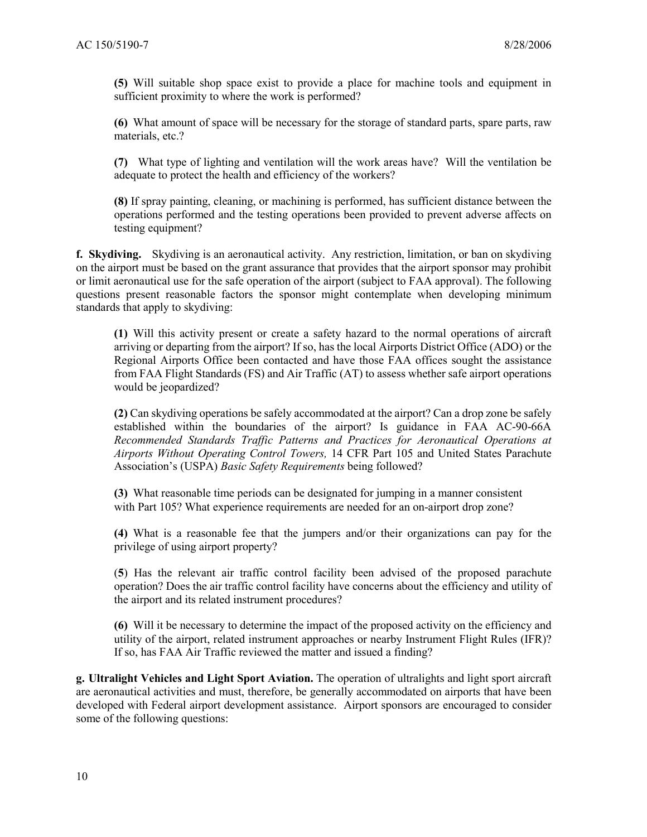**(5)** Will suitable shop space exist to provide a place for machine tools and equipment in sufficient proximity to where the work is performed?

 **(6)** What amount of space will be necessary for the storage of standard parts, spare parts, raw materials, etc.?

**(7)** What type of lighting and ventilation will the work areas have? Will the ventilation be adequate to protect the health and efficiency of the workers?

**(8)** If spray painting, cleaning, or machining is performed, has sufficient distance between the operations performed and the testing operations been provided to prevent adverse affects on testing equipment?

**f. Skydiving.** Skydiving is an aeronautical activity. Any restriction, limitation, or ban on skydiving on the airport must be based on the grant assurance that provides that the airport sponsor may prohibit or limit aeronautical use for the safe operation of the airport (subject to FAA approval). The following questions present reasonable factors the sponsor might contemplate when developing minimum standards that apply to skydiving:

**(1)** Will this activity present or create a safety hazard to the normal operations of aircraft arriving or departing from the airport? If so, has the local Airports District Office (ADO) or the Regional Airports Office been contacted and have those FAA offices sought the assistance from FAA Flight Standards (FS) and Air Traffic (AT) to assess whether safe airport operations would be jeopardized?

**(2)** Can skydiving operations be safely accommodated at the airport? Can a drop zone be safely established within the boundaries of the airport? Is guidance in FAA AC-90-66A *Recommended Standards Traffic Patterns and Practices for Aeronautical Operations at Airports Without Operating Control Towers,* 14 CFR Part 105 and United States Parachute Association's (USPA) *Basic Safety Requirements* being followed?

**(3)** What reasonable time periods can be designated for jumping in a manner consistent with Part 105? What experience requirements are needed for an on-airport drop zone?

**(4)** What is a reasonable fee that the jumpers and/or their organizations can pay for the privilege of using airport property?

(**5**) Has the relevant air traffic control facility been advised of the proposed parachute operation? Does the air traffic control facility have concerns about the efficiency and utility of the airport and its related instrument procedures?

**(6)** Will it be necessary to determine the impact of the proposed activity on the efficiency and utility of the airport, related instrument approaches or nearby Instrument Flight Rules (IFR)? If so, has FAA Air Traffic reviewed the matter and issued a finding?

**g. Ultralight Vehicles and Light Sport Aviation.** The operation of ultralights and light sport aircraft are aeronautical activities and must, therefore, be generally accommodated on airports that have been developed with Federal airport development assistance. Airport sponsors are encouraged to consider some of the following questions: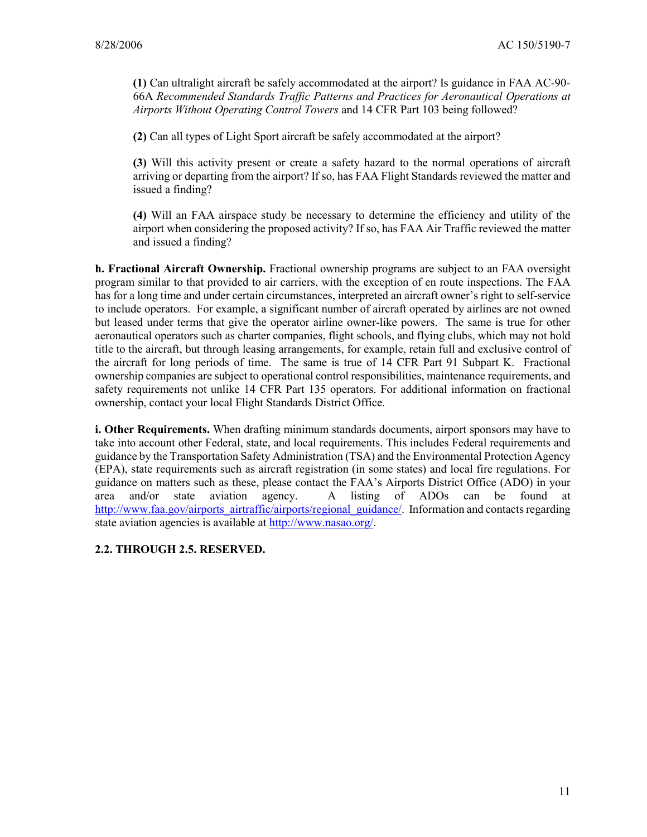**(1)** Can ultralight aircraft be safely accommodated at the airport? Is guidance in FAA AC-90- 66A *Recommended Standards Traffic Patterns and Practices for Aeronautical Operations at Airports Without Operating Control Towers* and 14 CFR Part 103 being followed?

**(2)** Can all types of Light Sport aircraft be safely accommodated at the airport?

**(3)** Will this activity present or create a safety hazard to the normal operations of aircraft arriving or departing from the airport? If so, has FAA Flight Standards reviewed the matter and issued a finding?

**(4)** Will an FAA airspace study be necessary to determine the efficiency and utility of the airport when considering the proposed activity? If so, has FAA Air Traffic reviewed the matter and issued a finding?

**h. Fractional Aircraft Ownership.** Fractional ownership programs are subject to an FAA oversight program similar to that provided to air carriers, with the exception of en route inspections. The FAA has for a long time and under certain circumstances, interpreted an aircraft owner's right to self-service to include operators. For example, a significant number of aircraft operated by airlines are not owned but leased under terms that give the operator airline owner-like powers. The same is true for other aeronautical operators such as charter companies, flight schools, and flying clubs, which may not hold title to the aircraft, but through leasing arrangements, for example, retain full and exclusive control of the aircraft for long periods of time. The same is true of 14 CFR Part 91 Subpart K. Fractional ownership companies are subject to operational control responsibilities, maintenance requirements, and safety requirements not unlike 14 CFR Part 135 operators. For additional information on fractional ownership, contact your local Flight Standards District Office.

**i. Other Requirements.** When drafting minimum standards documents, airport sponsors may have to take into account other Federal, state, and local requirements. This includes Federal requirements and guidance by the Transportation Safety Administration (TSA) and the Environmental Protection Agency (EPA), state requirements such as aircraft registration (in some states) and local fire regulations. For guidance on matters such as these, please contact the FAA's Airports District Office (ADO) in your area and/or state aviation agency. A listing of ADOs can be found at area and/or state aviation agency. A listing of ADOs can be found at http://www.faa.gov/airports\_airtraffic/airports/regional\_guidance/. Information and contacts regarding state aviation agencies is available at http://www.nasao.org/.

## **2.2. THROUGH 2.5. RESERVED.**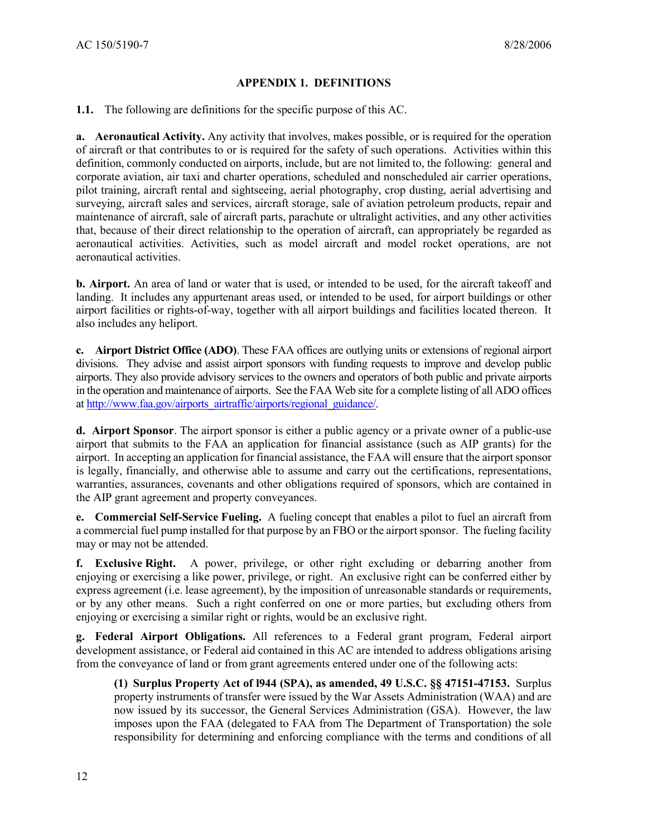#### **APPENDIX 1. DEFINITIONS**

**1.1.** The following are definitions for the specific purpose of this AC.

**a. Aeronautical Activity.** Any activity that involves, makes possible, or is required for the operation of aircraft or that contributes to or is required for the safety of such operations. Activities within this definition, commonly conducted on airports, include, but are not limited to, the following: general and corporate aviation, air taxi and charter operations, scheduled and nonscheduled air carrier operations, pilot training, aircraft rental and sightseeing, aerial photography, crop dusting, aerial advertising and surveying, aircraft sales and services, aircraft storage, sale of aviation petroleum products, repair and maintenance of aircraft, sale of aircraft parts, parachute or ultralight activities, and any other activities that, because of their direct relationship to the operation of aircraft, can appropriately be regarded as aeronautical activities. Activities, such as model aircraft and model rocket operations, are not aeronautical activities.

**b. Airport.** An area of land or water that is used, or intended to be used, for the aircraft takeoff and landing. It includes any appurtenant areas used, or intended to be used, for airport buildings or other airport facilities or rights-of-way, together with all airport buildings and facilities located thereon. It also includes any heliport.

**c. Airport District Office (ADO)**. These FAA offices are outlying units or extensions of regional airport divisions. They advise and assist airport sponsors with funding requests to improve and develop public airports. They also provide advisory services to the owners and operators of both public and private airports in the operation and maintenance of airports. See the FAA Web site for a complete listing of all ADO offices at http://www.faa.gov/airports\_airtraffic/airports/regional\_guidance/.

**d. Airport Sponsor**. The airport sponsor is either a public agency or a private owner of a public-use airport that submits to the FAA an application for financial assistance (such as AIP grants) for the airport. In accepting an application for financial assistance, the FAA will ensure that the airport sponsor is legally, financially, and otherwise able to assume and carry out the certifications, representations, warranties, assurances, covenants and other obligations required of sponsors, which are contained in the AIP grant agreement and property conveyances.

**e. Commercial Self-Service Fueling.** A fueling concept that enables a pilot to fuel an aircraft from a commercial fuel pump installed for that purpose by an FBO or the airport sponsor. The fueling facility may or may not be attended.

**f. Exclusive Right.** A power, privilege, or other right excluding or debarring another from enjoying or exercising a like power, privilege, or right. An exclusive right can be conferred either by express agreement (i.e. lease agreement), by the imposition of unreasonable standards or requirements, or by any other means. Such a right conferred on one or more parties, but excluding others from enjoying or exercising a similar right or rights, would be an exclusive right.

**g. Federal Airport Obligations.** All references to a Federal grant program, Federal airport development assistance, or Federal aid contained in this AC are intended to address obligations arising from the conveyance of land or from grant agreements entered under one of the following acts:

**(1) Surplus Property Act of l944 (SPA), as amended, 49 U.S.C. §§ 47151-47153.** Surplus property instruments of transfer were issued by the War Assets Administration (WAA) and are now issued by its successor, the General Services Administration (GSA). However, the law imposes upon the FAA (delegated to FAA from The Department of Transportation) the sole responsibility for determining and enforcing compliance with the terms and conditions of all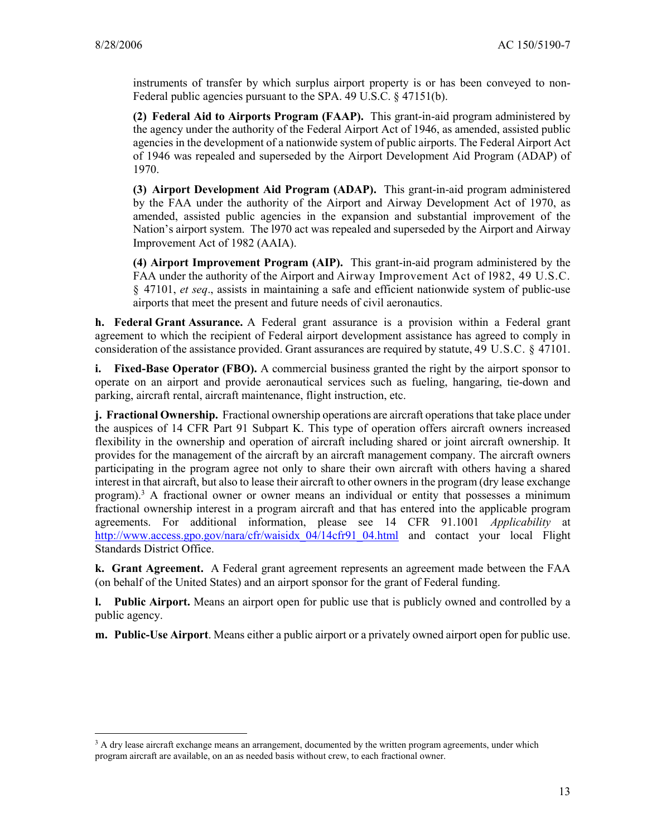$\overline{a}$ 

instruments of transfer by which surplus airport property is or has been conveyed to non-Federal public agencies pursuant to the SPA. 49 U.S.C. § 47151(b).

**(2) Federal Aid to Airports Program (FAAP).** This grant-in-aid program administered by the agency under the authority of the Federal Airport Act of 1946, as amended, assisted public agencies in the development of a nationwide system of public airports. The Federal Airport Act of 1946 was repealed and superseded by the Airport Development Aid Program (ADAP) of 1970.

**(3) Airport Development Aid Program (ADAP).** This grant-in-aid program administered by the FAA under the authority of the Airport and Airway Development Act of 1970, as amended, assisted public agencies in the expansion and substantial improvement of the Nation's airport system. The l970 act was repealed and superseded by the Airport and Airway Improvement Act of 1982 (AAIA).

**(4) Airport Improvement Program (AIP).** This grant-in-aid program administered by the FAA under the authority of the Airport and Airway Improvement Act of l982, 49 U.S.C. § 47101, *et seq*., assists in maintaining a safe and efficient nationwide system of public-use airports that meet the present and future needs of civil aeronautics.

**h. Federal Grant Assurance.** A Federal grant assurance is a provision within a Federal grant agreement to which the recipient of Federal airport development assistance has agreed to comply in consideration of the assistance provided. Grant assurances are required by statute, 49 U.S.C. § 47101.

**i.** Fixed-Base Operator (FBO). A commercial business granted the right by the airport sponsor to operate on an airport and provide aeronautical services such as fueling, hangaring, tie-down and parking, aircraft rental, aircraft maintenance, flight instruction, etc.

**j. Fractional Ownership.** Fractional ownership operations are aircraft operations that take place under the auspices of 14 CFR Part 91 Subpart K. This type of operation offers aircraft owners increased flexibility in the ownership and operation of aircraft including shared or joint aircraft ownership. It provides for the management of the aircraft by an aircraft management company. The aircraft owners participating in the program agree not only to share their own aircraft with others having a shared interest in that aircraft, but also to lease their aircraft to other owners in the program (dry lease exchange program).<sup>3</sup> A fractional owner or owner means an individual or entity that possesses a minimum fractional ownership interest in a program aircraft and that has entered into the applicable program agreements. For additional information, please see 14 CFR 91.1001 *Applicability* at http://www.access.gpo.gov/nara/cfr/waisidx 04/14cfr91\_04.html and contact your local Flight Standards District Office.

**k. Grant Agreement.** A Federal grant agreement represents an agreement made between the FAA (on behalf of the United States) and an airport sponsor for the grant of Federal funding.

**l. Public Airport.** Means an airport open for public use that is publicly owned and controlled by a public agency.

**m. Public-Use Airport**. Means either a public airport or a privately owned airport open for public use.

<sup>&</sup>lt;sup>3</sup> A dry lease aircraft exchange means an arrangement, documented by the written program agreements, under which program aircraft are available, on an as needed basis without crew, to each fractional owner.